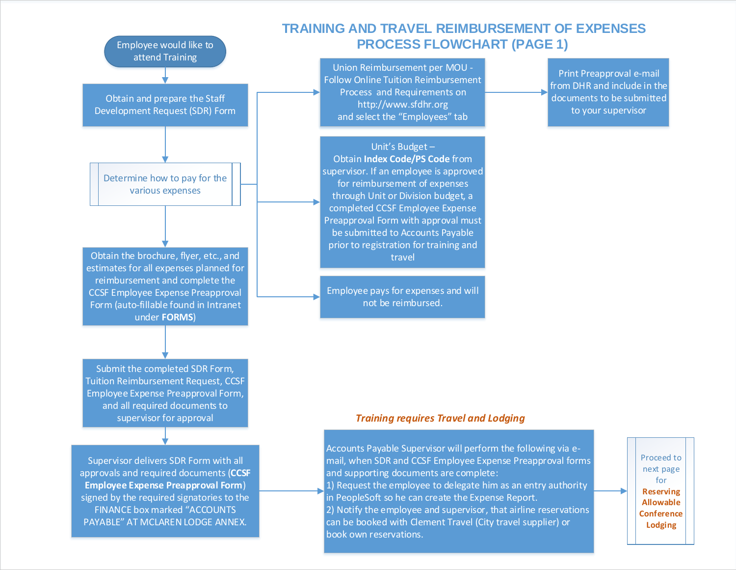

Union Reimbursement per MOU - [Follow Online Tuition Reimbursement](http://www.sfdhr.org/index.aspx?page=615)  Process and Requirements on http://www.sfdhr.org and select the "Employees" tab

Print Preapproval e-mail from DHR and include in the documents to be submitted to your supervisor

Unit's Budget – Obtain **Index Code/PS Code** from supervisor. If an employee is approved for reimbursement of expenses through Unit or Division budget, a completed CCSF Employee Expense Preapproval Form with approval must be submitted to Accounts Payable prior to registration for training and travel

Employee pays for expenses and will not be reimbursed.

Obtain the brochure, flyer, etc., and estimates for all expenses planned for reimbursement and complete the CCSF Employee Expense Preapproval Form (auto-fillable found in Intranet

Submit the completed SDR Form, Tuition Reimbursement Request, CCSF Employee Expense Preapproval Form, and all required documents to supervisor for approval

under **FORMS**)

Employee would like to attend Training

Obtain and prepare the Staff Development Request (SDR) Form

Determine how to pay for the various expenses

Supervisor delivers SDR Form with all approvals and required documents (**CCSF Employee Expense Preapproval Form**) signed by the required signatories to the FINANCE box marked "ACCOUNTS PAYABLE" AT MCLAREN LODGE ANNEX.

#### *Training requires Travel and Lodging*

Accounts Payable Supervisor will perform the following via email, when SDR and CCSF Employee Expense Preapproval forms and supporting documents are complete: 1) Request the employee to delegate him as an entry authority in PeopleSoft so he can create the Expense Report. 2) Notify the employee and supervisor, that airline reservations can be booked with Clement Travel (City travel supplier) or book own reservations.

Proceed to next page for **Reserving Allowable Conference Lodging**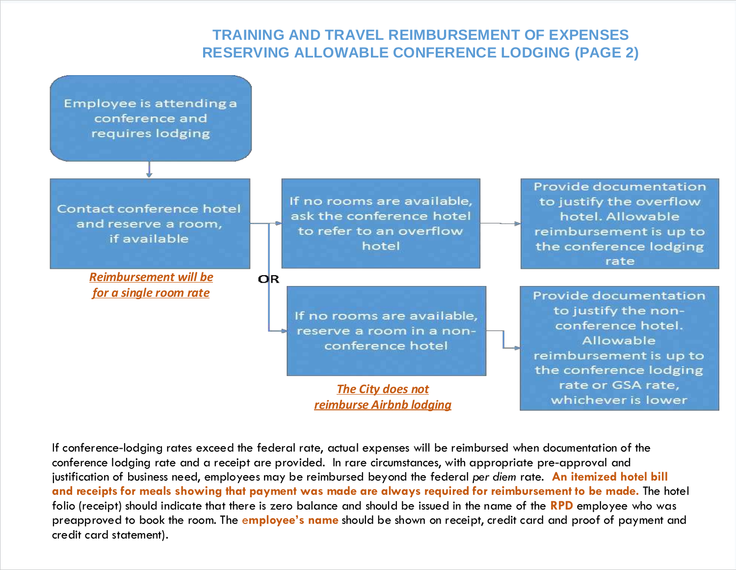# **TRAINING AND TRAVEL REIMBURSEMENT OF EXPENSES RESERVING ALLOWABLE CONFERENCE LODGING (PAGE 2)**



If conference-lodging rates exceed the federal rate, actual expenses will be reimbursed when documentation of the conference lodging rate and a receipt are provided. In rare circumstances, with appropriate pre-approval and justification of business need, employees may be reimbursed beyond the federal *per diem* rate. **An itemized hotel bill and receipts for meals showing that payment was made are always required for reimbursement to be made.** The hotel folio (receipt) should indicate that there is zero balance and should be issued in the name of the **RPD** employee who was preapproved to book the room. The e**mployee's name** should be shown on receipt, credit card and proof of payment and credit card statement).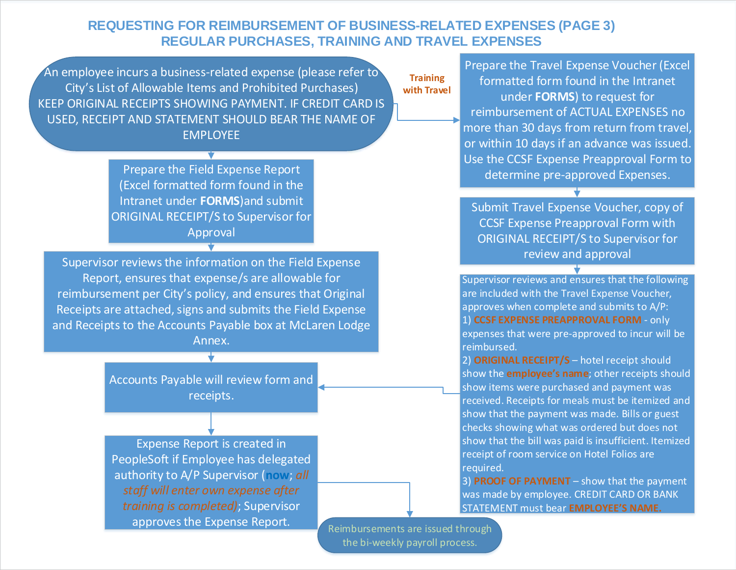## **REQUESTING FOR REIMBURSEMENT OF BUSINESS-RELATED EXPENSES (PAGE 3) REGULAR PURCHASES, TRAINING AND TRAVEL EXPENSES**

An employee incurs a business-related expense (please refer to City's List of Allowable Items and Prohibited Purchases) KEEP ORIGINAL RECEIPTS SHOWING PAYMENT. IF CREDIT CARD IS USED, RECEIPT AND STATEMENT SHOULD BEAR THE NAME OF EMPLOYEE

> Prepare the Field Expense Report (Excel formatted form found in the Intranet under **FORMS**)and submit ORIGINAL RECEIPT/S to Supervisor for Approval

Supervisor reviews the information on the Field Expense Report, ensures that expense/s are allowable for reimbursement per City's policy, and ensures that Original Receipts are attached, signs and submits the Field Expense and Receipts to the Accounts Payable box at McLaren Lodge Annex.

> Accounts Payable will review form and receipts.

Expense Report is created in PeopleSoft if Employee has delegated authority to A/P Supervisor (**now**; *all staff will enter own expense after training is completed)*; Supervisor approves the Expense Report.

**Training with Travel**

Prepare the Travel Expense Voucher (Excel formatted form found in the Intranet under **FORMS**) to request for reimbursement of ACTUAL EXPENSES no more than 30 days from return from travel, or within 10 days if an advance was issued. Use the CCSF Expense Preapproval Form to determine pre-approved Expenses.

Submit Travel Expense Voucher, copy of CCSF Expense Preapproval Form with ORIGINAL RECEIPT/S to Supervisor for review and approval

Supervisor reviews and ensures that the following are included with the Travel Expense Voucher, approves when complete and submits to A/P: 1) **CCSF EXPENSE PREAPPROVAL FORM** - only expenses that were pre-approved to incur will be reimbursed.

2) **ORIGINAL RECEIPT/S** – hotel receipt should show the **employee's name**; other receipts should show items were purchased and payment was received. Receipts for meals must be itemized and show that the payment was made. Bills or guest checks showing what was ordered but does not show that the bill was paid is insufficient. Itemized receipt of room service on Hotel Folios are required.

3) **PROOF OF PAYMENT** – show that the payment was made by employee. CREDIT CARD OR BANK STATEMENT must bear **EMPLOYEE'S NAME.** 

Reimbursements are issued through the bi-weekly payroll process.